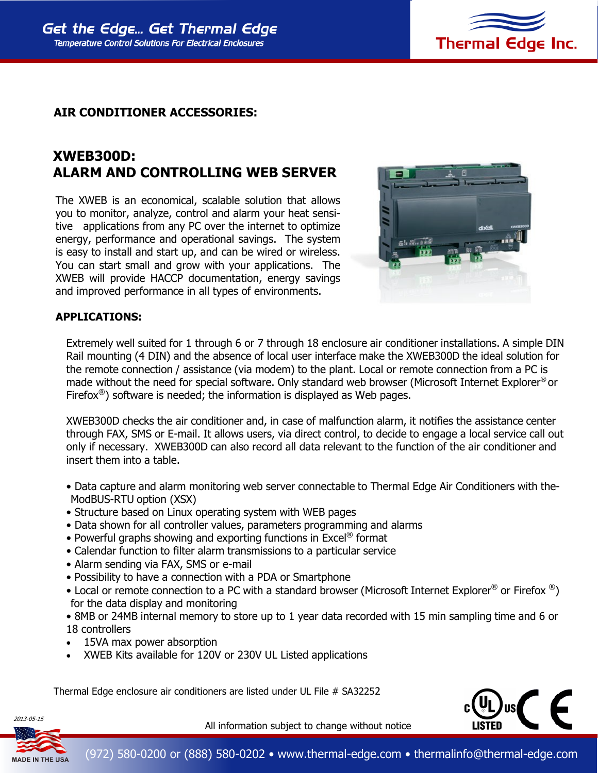

## **AIR CONDITIONER ACCESSORIES:**

## **XWEB300D: ALARM AND CONTROLLING WEB SERVER**

The XWEB is an economical, scalable solution that allows you to monitor, analyze, control and alarm your heat sensitive applications from any PC over the internet to optimize energy, performance and operational savings. The system is easy to install and start up, and can be wired or wireless. You can start small and grow with your applications. The XWEB will provide HACCP documentation, energy savings and improved performance in all types of environments.



## **APPLICATIONS:**

Extremely well suited for 1 through 6 or 7 through 18 enclosure air conditioner installations. A simple DIN Rail mounting (4 DIN) and the absence of local user interface make the XWEB300D the ideal solution for the remote connection / assistance (via modem) to the plant. Local or remote connection from a PC is made without the need for special software. Only standard web browser (Microsoft Internet Explorer® or Firefox $\mathcal{P}$ ) software is needed; the information is displayed as Web pages.

XWEB300D checks the air conditioner and, in case of malfunction alarm, it notifies the assistance center through FAX, SMS or E-mail. It allows users, via direct control, to decide to engage a local service call out only if necessary. XWEB300D can also record all data relevant to the function of the air conditioner and insert them into a table.

- Data capture and alarm monitoring web server connectable to Thermal Edge Air Conditioners with the-ModBUS-RTU option (XSX)
- Structure based on Linux operating system with WEB pages
- Data shown for all controller values, parameters programming and alarms
- Powerful graphs showing and exporting functions in Excel ® format
- Calendar function to filter alarm transmissions to a particular service
- Alarm sending via FAX, SMS or e-mail
- Possibility to have a connection with a PDA or Smartphone
- Local or remote connection to a PC with a standard browser (Microsoft Internet Explorer<sup>®</sup> or Firefox  $\mathbb{P}$ ) for the data display and monitoring

• 8MB or 24MB internal memory to store up to 1 year data recorded with 15 min sampling time and 6 or 18 controllers

- 15VA max power absorption
- XWEB Kits available for 120V or 230V UL Listed applications

Thermal Edge enclosure air conditioners are listed under UL File # SA32252





All information subject to change without notice